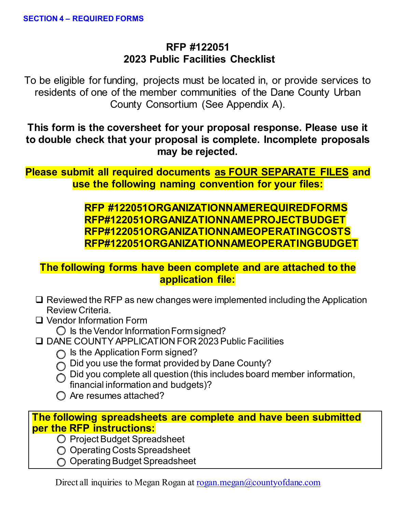# **RFP #122051 2023 Public Facilities Checklist**

To be eligible for funding, projects must be located in, or provide services to residents of one of the member communities of the Dane County Urban County Consortium (See Appendix A).

**This form is the coversheet for your proposal response. Please use it to double check that your proposal is complete. Incomplete proposals may be rejected.**

**Please submit all required documents as FOUR SEPARATE FILES and use the following naming convention for your files:** 

# **RFP #122051ORGANIZATIONNAMEREQUIREDFORMS RFP#122051ORGANIZATIONNAMEPROJECTBUDGET RFP#122051ORGANIZATIONNAMEOPERATINGCOSTS RFP#122051ORGANIZATIONNAMEOPERATINGBUDGET**

# **The following forms have been complete and are attached to the application file:**

- $\Box$  Reviewed the RFP as new changes were implemented including the Application Review Criteria.
- □ Vendor Information Form

 $\bigcirc$  Is the Vendor Information Form signed?

- DANE COUNTY APPLICATION FOR 2023 Public Facilities
	- $\bigcap$  Is the Application Form signed?
	- $\bigcirc$  Did you use the format provided by Dane County?
	- $\bigcirc$  Did you complete all question (this includes board member information,
		- financial information and budgets)?
	- $\bigcirc$  Are resumes attached?

# **[The following spreadsheets are complete and have been submitted](https://countyofdane.sharefile.com/d-s21db5b6ce4474eb1a52b37f58e285028)  per the RFP instructions:**

- o Project Budget Spreadsheet
- O Operating Costs Spreadsheet
- ◯ Operating Budget Spreadsheet

Direct all inquiries to Megan Rogan at [rogan.megan@countyofdane.com](mailto:rogan.megan@countyofdane.com)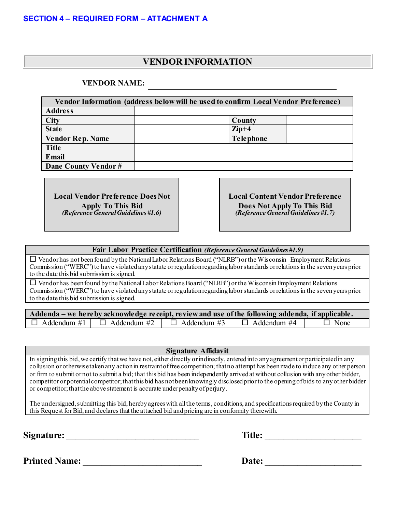## **VENDOR INFORMATION**

#### **VENDOR NAME:**

| Vendor Information (address below will be used to confirm Local Vendor Preference) |                  |  |
|------------------------------------------------------------------------------------|------------------|--|
| <b>Address</b>                                                                     |                  |  |
| <b>City</b>                                                                        | County           |  |
| <b>State</b>                                                                       | $\mathbf{Zip}+4$ |  |
| <b>Vendor Rep. Name</b>                                                            | <b>Telephone</b> |  |
| <b>Title</b>                                                                       |                  |  |
| <b>Email</b>                                                                       |                  |  |
| Dane County Vendor#                                                                |                  |  |

**Local Vendor Preference Does Not Apply To This Bid** *(Reference General Guidelines #1.6)*

**Local Content Vendor Preference Does Not Apply To This Bid** *(Reference General Guidelines #1.7)*

#### **Fair Labor Practice Certification** *(Reference General Guidelines #1.9)*

 Vendor has not been found by the National Labor Relations Board ("NLRB") or the Wisconsin Employment Relations Commission ("WERC") to have violated any statute or regulation regarding labor standards or relations in the seven years prior to the date this bid submission is signed.

 $\Box$  Vendor has been found by the National Labor Relations Board ("NLRB") or the Wisconsin Employment Relations Commission ("WERC") to have violated any statute or regulation regarding labor standards or relations in the seven years prior to the date this bid submission is signed.

| Addenda – we hereby acknowledge receipt, review and use of the following addenda, if applicable. |                    |                    |                    |             |
|--------------------------------------------------------------------------------------------------|--------------------|--------------------|--------------------|-------------|
| $\Box$ Addendum #1                                                                               | $\Box$ Addendum #2 | $\Box$ Addendum #3 | $\Box$ Addendum #4 | $\Box$ None |

**Signature Affidavit**

In signing this bid, we certify that we have not, either directly or indirectly, entered into any agreement or participated in any collusion or otherwise taken any action in restraint of free competition; that no attempt has been made to induce any other person or firm to submit or not to submit a bid; that this bid has been independently arrived at without collusion with any other bidder, competitor or potential competitor; that this bid has not been knowingly disclosed prior to the opening of bids to any other bidder or competitor; that the above statement is accurate under penalty of perjury.

The undersigned, submitting this bid, hereby agrees with all the terms, conditions, and specifications required by the County in this Request for Bid, and declares that the attached bid and pricing are in conformity therewith.

**Signature:** Title:

**Printed Name:** \_\_\_\_\_\_\_\_\_\_\_\_\_\_\_\_\_\_\_\_\_\_\_\_\_\_ **Date:** \_\_\_\_\_\_\_\_\_\_\_\_\_\_\_\_\_\_\_\_\_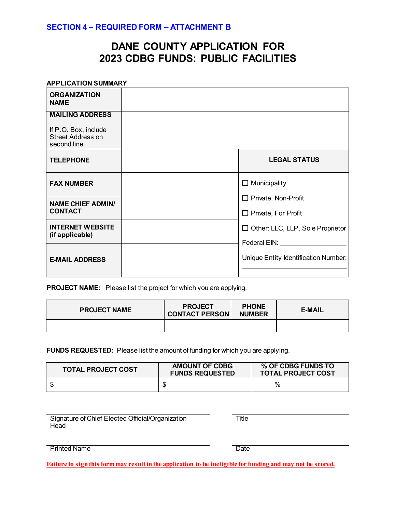# **DANE COUNTY APPLICATION FOR 2023 CDBG FUNDS: PUBLIC FACILITIES**

#### **APPLICATION SUMMARY**

| <b>ORGANIZATION</b><br><b>NAME</b>                                                        |                                                                       |
|-------------------------------------------------------------------------------------------|-----------------------------------------------------------------------|
| <b>MAILING ADDRESS</b><br>If P.O. Box, include<br><b>Street Address on</b><br>second line |                                                                       |
| <b>TELEPHONE</b>                                                                          | <b>LEGAL STATUS</b>                                                   |
| <b>FAX NUMBER</b>                                                                         | $\Box$ Municipality                                                   |
| <b>NAME CHIEF ADMIN/</b><br><b>CONTACT</b>                                                | $\Box$ Private, Non-Profit<br>$\Box$ Private, For Profit              |
| <b>INTERNET WEBSITE</b><br>(if applicable)                                                | $\Box$ Other: LLC, LLP, Sole Proprietor<br>Federal EIN: North Control |
| <b>E-MAIL ADDRESS</b>                                                                     | Unique Entity Identification Number:                                  |

**PROJECT NAME:** Please list the project for which you are applying.

| <b>PROJECT NAME</b> | <b>PROJECT</b><br><b>CONTACT PERSON</b> | <b>PHONE</b><br><b>NUMBER</b> | <b>E-MAIL</b> |
|---------------------|-----------------------------------------|-------------------------------|---------------|
|                     |                                         |                               |               |

**FUNDS REQUESTED:** Please list the amount of funding for which you are applying.

| <b>TOTAL PROJECT COST</b> | <b>AMOUNT OF CDBG</b><br><b>FUNDS REQUESTED</b> | % OF CDBG FUNDS TO<br><b>TOTAL PROJECT COST</b> |
|---------------------------|-------------------------------------------------|-------------------------------------------------|
|                           |                                                 | $\%$                                            |

Signature of Chief Elected Official/Organization **Head** 

**Title** 

Printed Name **Date** 

**Failure to sign this form may result in the application to be ineligible for funding and may not be scored.**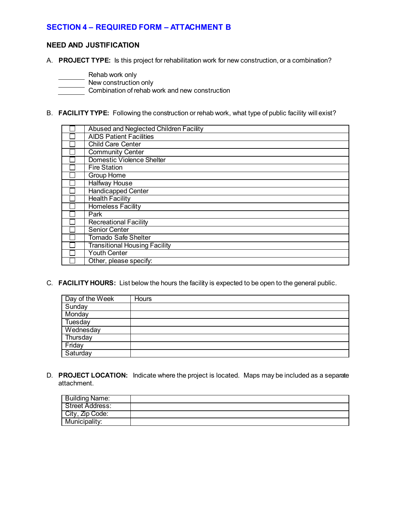#### **NEED AND JUSTIFICATION**

A. **PROJECT TYPE:** Is this project for rehabilitation work for new construction, or a combination?

- Rehab work only
	- New construction only

**Combination of rehab work and new construction** 

B. **FACILITY TYPE:** Following the construction or rehab work, what type of public facility will exist?

| Abused and Neglected Children Facility |
|----------------------------------------|
| <b>AIDS Patient Facilities</b>         |
| <b>Child Care Center</b>               |
| <b>Community Center</b>                |
| Domestic Violence Shelter              |
| <b>Fire Station</b>                    |
| Group Home                             |
| <b>Halfway House</b>                   |
| <b>Handicapped Center</b>              |
| <b>Health Facility</b>                 |
| Homeless Facility                      |
| Park                                   |
| <b>Recreational Facility</b>           |
| <b>Senior Center</b>                   |
| <b>Tornado Safe Shelter</b>            |
| <b>Transitional Housing Facility</b>   |
| <b>Youth Center</b>                    |
| Other, please specify:                 |

C. **FACILITY HOURS:** List below the hours the facility is expected to be open to the general public.

| Day of the Week | Hours |
|-----------------|-------|
| Sunday          |       |
| Monday          |       |
| Tuesday         |       |
| Wednesday       |       |
| Thursday        |       |
| Friday          |       |
| Saturday        |       |

D. **PROJECT LOCATION:** Indicate where the project is located. Maps may be included as a separate attachment.

| Building Name:  |  |
|-----------------|--|
| Street Address: |  |
| City, Zip Code: |  |
| Municipality:   |  |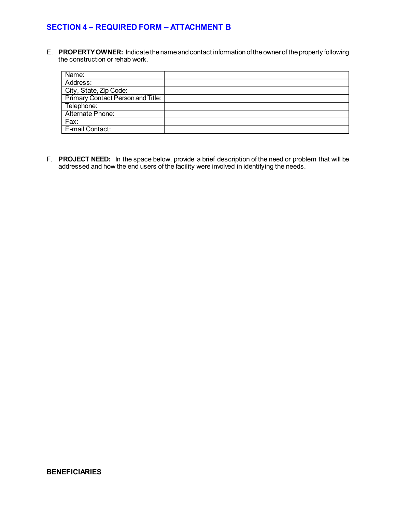E. **PROPERTY OWNER:** Indicate the name and contact information of the owner of the property following the construction or rehab work.

| Name:                             |  |
|-----------------------------------|--|
| Address:                          |  |
| City, State, Zip Code:            |  |
| Primary Contact Person and Title: |  |
| Telephone:                        |  |
| Alternate Phone:                  |  |
| Fax:                              |  |
| E-mail Contact:                   |  |

F. **PROJECT NEED:** In the space below, provide a brief description of the need or problem that will be addressed and how the end users of the facility were involved in identifying the needs.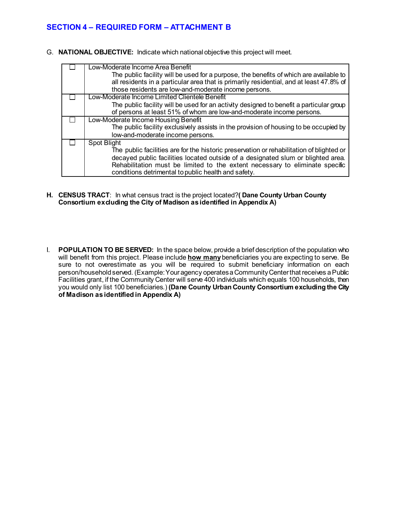G. **NATIONAL OBJECTIVE:** Indicate which national objective this project will meet.

| Low-Moderate Income Area Benefit                                                         |
|------------------------------------------------------------------------------------------|
| The public facility will be used for a purpose, the benefits of which are available to   |
| all residents in a particular area that is primarily residential, and at least 47.8% of  |
| those residents are low-and-moderate income persons.                                     |
| Low-Moderate Income Limited Clientele Benefit                                            |
| The public facility will be used for an activity designed to benefit a particular group  |
| of persons at least 51% of whom are low-and-moderate income persons.                     |
| Low-Moderate Income Housing Benefit                                                      |
| The public facility exclusively assists in the provision of housing to be occupied by    |
| low-and-moderate income persons.                                                         |
| Spot Blight                                                                              |
| The public facilities are for the historic preservation or rehabilitation of blighted or |
| decayed public facilities located outside of a designated slum or blighted area.         |
| Rehabilitation must be limited to the extent necessary to eliminate specific             |
| conditions detrimental to public health and safety.                                      |

- **H. CENSUS TRACT**: In what census tract is the project located?**( Dane County Urban County Consortium excluding the City of Madison as identified in Appendix A)**
- I. **POPULATION TO BE SERVED:** In the space below, provide a brief description of the population who will benefit from this project. Please include **how many**beneficiaries you are expecting to serve. Be sure to not overestimate as you will be required to submit beneficiary information on each person/household served. (Example:Your agency operates a Community Center that receives aPublic Facilities grant, if the Community Center will serve 400 individuals which equals 100 households, then you would only list 100 beneficiaries.) **(Dane County Urban County Consortium excluding the City of Madison as identified in Appendix A)**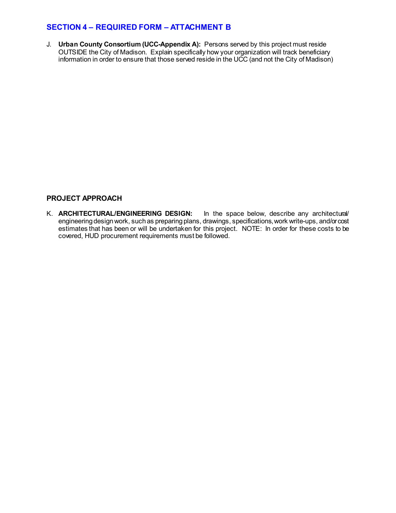J. **Urban County Consortium (UCC-Appendix A):** Persons served by this project must reside OUTSIDE the City of Madison. Explain specifically how your organization will track beneficiary information in order to ensure that those served reside in the UCC (and not the City of Madison)

#### **PROJECT APPROACH**

K. **ARCHITECTURAL/ENGINEERING DESIGN:** In the space below, describe any architectural/ engineering designwork, such as preparing plans, drawings, specifications, work write-ups, and/or cost estimates that has been or will be undertaken for this project. NOTE: In order for these costs to be covered, HUD procurement requirements must be followed.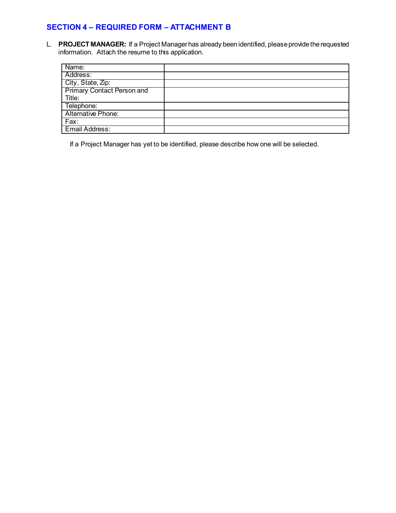L. **PROJECT MANAGER:** If a Project Manager has already been identified, please provide the requested information. Attach the resume to this application.

| Name:                             |  |
|-----------------------------------|--|
| Address:                          |  |
| City, State, Zip:                 |  |
| <b>Primary Contact Person and</b> |  |
| Title:                            |  |
| Telephone:                        |  |
| Alternative Phone:                |  |
| Fax:                              |  |
| <b>Email Address:</b>             |  |

If a Project Manager has yet to be identified, please describe how one will be selected.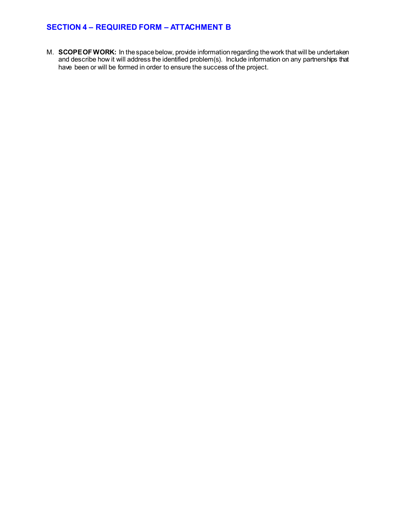M. **SCOPE OF WORK:** In the space below, provide information regarding the work that will be undertaken and describe how it will address the identified problem(s). Include information on any partnerships that have been or will be formed in order to ensure the success of the project.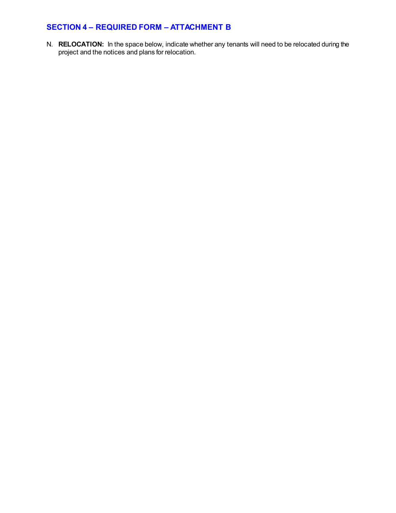N. **RELOCATION:** In the space below, indicate whether any tenants will need to be relocated during the project and the notices and plans for relocation.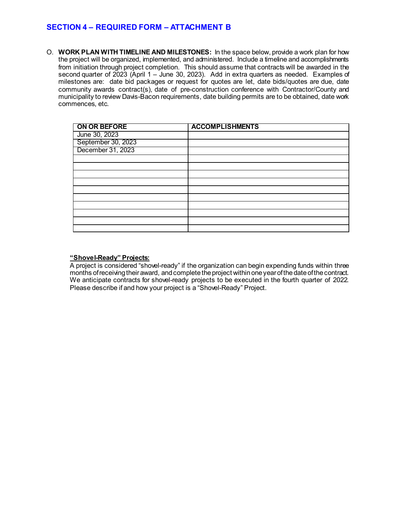O. **WORK PLAN WITH TIMELINE AND MILESTONES:** In the space below, provide a work plan for how the project will be organized, implemented, and administered. Include a timeline and accomplishments from initiation through project completion. This should assume that contracts will be awarded in the second quarter of 2023 (April 1 – June 30, 2023). Add in extra quarters as needed. Examples of milestones are: date bid packages or request for quotes are let, date bids/quotes are due, date community awards contract(s), date of pre-construction conference with Contractor/County and municipality to review Davis-Bacon requirements, date building permits are to be obtained, date work commences, etc.

| ON OR BEFORE                                             | <b>ACCOMPLISHMENTS</b> |
|----------------------------------------------------------|------------------------|
| June 30, 2023<br>September 30, 2023<br>December 31, 2023 |                        |
|                                                          |                        |
|                                                          |                        |
|                                                          |                        |
|                                                          |                        |
|                                                          |                        |
|                                                          |                        |
|                                                          |                        |
|                                                          |                        |
|                                                          |                        |
|                                                          |                        |
|                                                          |                        |
|                                                          |                        |

#### **"Shovel-Ready" Projects:**

A project is considered "shovel-ready" if the organization can begin expending funds within three months of receiving their award, and complete the project within one year of the date of the contract. We anticipate contracts for shovel-ready projects to be executed in the fourth quarter of 2022. Please describe if and how your project is a "Shovel-Ready" Project.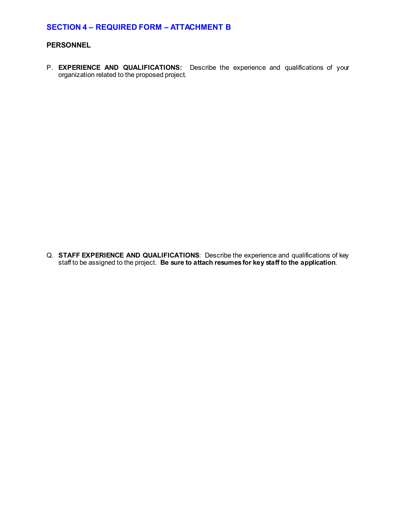#### **PERSONNEL**

P. **EXPERIENCE AND QUALIFICATIONS:** Describe the experience and qualifications of your organization related to the proposed project.

Q. **STAFF EXPERIENCE AND QUALIFICATIONS**: Describe the experience and qualifications of key staff to be assigned to the project. **Be sure to attach resumes for key staff to the application**.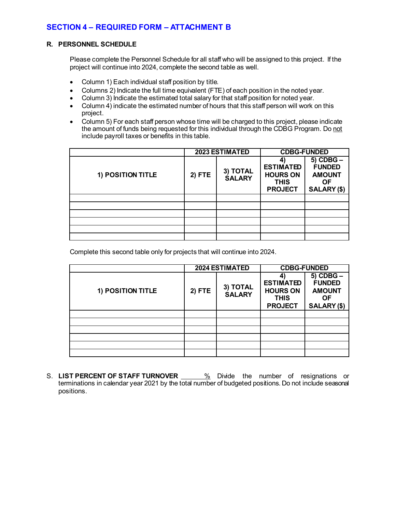#### **R. PERSONNEL SCHEDULE**

Please complete the Personnel Schedule for all staff who will be assigned to this project. If the project will continue into 2024, complete the second table as well.

- Column 1) Each individual staff position by title.
- Columns 2) Indicate the full time equivalent (FTE) of each position in the noted year.
- Column 3) Indicate the estimated total salary for that staff position for noted year.
- Column 4) indicate the estimated number of hours that this staff person will work on this project.
- Column 5) For each staff person whose time will be charged to this project, please indicate the amount of funds being requested for this individual through the CDBG Program. Do not include payroll taxes or benefits in this table.

|                   |                              | 2023 ESTIMATED | <b>CDBG-FUNDED</b>                                                   |                                                                             |
|-------------------|------------------------------|----------------|----------------------------------------------------------------------|-----------------------------------------------------------------------------|
| 1) POSITION TITLE | 3) TOTAL<br>SALARY<br>2) FTE |                | <b>ESTIMATED</b><br><b>HOURS ON</b><br><b>THIS</b><br><b>PROJECT</b> | $5)$ CDBG $-$<br><b>FUNDED</b><br><b>AMOUNT</b><br><b>OF</b><br>SALARY (\$) |
|                   |                              |                |                                                                      |                                                                             |
|                   |                              |                |                                                                      |                                                                             |
|                   |                              |                |                                                                      |                                                                             |
|                   |                              |                |                                                                      |                                                                             |
|                   |                              |                |                                                                      |                                                                             |
|                   |                              |                |                                                                      |                                                                             |

Complete this second table only for projects that will continue into 2024.

|                   |                                       | <b>2024 ESTIMATED</b> | <b>CDBG-FUNDED</b>                                                   |                                                                             |
|-------------------|---------------------------------------|-----------------------|----------------------------------------------------------------------|-----------------------------------------------------------------------------|
| 1) POSITION TITLE | 3) TOTAL<br>$2)$ FTE<br><b>SALARY</b> |                       | <b>ESTIMATED</b><br><b>HOURS ON</b><br><b>THIS</b><br><b>PROJECT</b> | $5)$ CDBG $-$<br><b>FUNDED</b><br><b>AMOUNT</b><br><b>OF</b><br>SALARY (\$) |
|                   |                                       |                       |                                                                      |                                                                             |
|                   |                                       |                       |                                                                      |                                                                             |
|                   |                                       |                       |                                                                      |                                                                             |
|                   |                                       |                       |                                                                      |                                                                             |
|                   |                                       |                       |                                                                      |                                                                             |
|                   |                                       |                       |                                                                      |                                                                             |

S. LIST PERCENT OF STAFF TURNOVER **6. Manufals** Divide the number of resignations or terminations in calendar year 2021 by the total number of budgeted positions. Do not include seasonal positions.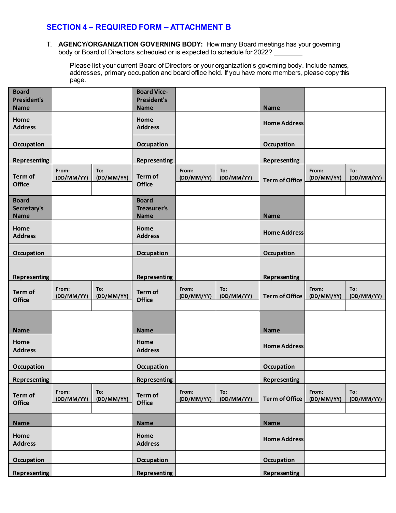T. **AGENCY/ORGANIZATION GOVERNING BODY:** How many Board meetings has your governing body or Board of Directors scheduled or is expected to schedule for 2022?

Please list your current Board of Directors or your organization's governing body. Include names, addresses, primary occupation and board office held. If you have more members, please copy this page.

| <b>Board</b><br><b>President's</b><br><b>Name</b> |                     |                   | <b>Board Vice-</b><br><b>President's</b><br><b>Name</b> |                     |                   | <b>Name</b>           |                     |                   |
|---------------------------------------------------|---------------------|-------------------|---------------------------------------------------------|---------------------|-------------------|-----------------------|---------------------|-------------------|
| Home<br><b>Address</b>                            |                     |                   | Home<br><b>Address</b>                                  |                     |                   | <b>Home Address</b>   |                     |                   |
| <b>Occupation</b>                                 |                     |                   | <b>Occupation</b>                                       |                     |                   | Occupation            |                     |                   |
| <b>Representing</b>                               |                     |                   | <b>Representing</b>                                     |                     |                   | <b>Representing</b>   |                     |                   |
| <b>Term of</b><br><b>Office</b>                   | From:<br>(DD/MM/YY) | To:<br>(DD/MM/YY) | Term of<br><b>Office</b>                                | From:<br>(DD/MM/YY) | To:<br>(DD/MM/YY) | <b>Term of Office</b> | From:<br>(DD/MM/YY) | To:<br>(DD/MM/YY) |
| <b>Board</b><br>Secretary's<br><b>Name</b>        |                     |                   | <b>Board</b><br><b>Treasurer's</b><br>Name              |                     |                   | Name                  |                     |                   |
| Home<br><b>Address</b>                            |                     |                   | Home<br><b>Address</b>                                  |                     |                   | <b>Home Address</b>   |                     |                   |
| Occupation                                        |                     |                   | Occupation                                              |                     |                   | Occupation            |                     |                   |
| <b>Representing</b>                               |                     |                   | <b>Representing</b>                                     |                     |                   | <b>Representing</b>   |                     |                   |
| <b>Term of</b><br><b>Office</b>                   | From:<br>(DD/MM/YY) | To:<br>(DD/MM/YY) | Term of<br><b>Office</b>                                | From:<br>(DD/MM/YY) | To:<br>(DD/MM/YY) | <b>Term of Office</b> | From:<br>(DD/MM/YY) | To:<br>(DD/MM/YY) |
| <b>Name</b>                                       |                     |                   | <b>Name</b>                                             |                     |                   | <b>Name</b>           |                     |                   |
| Home<br><b>Address</b>                            |                     |                   | Home<br><b>Address</b>                                  |                     |                   | <b>Home Address</b>   |                     |                   |
| Occupation                                        |                     |                   | Occupation                                              |                     |                   | <b>Occupation</b>     |                     |                   |
| Representing                                      |                     |                   | <b>Representing</b>                                     |                     |                   | <b>Representing</b>   |                     |                   |
| Term of<br><b>Office</b>                          | From:<br>(DD/MM/YY) | To:<br>(DD/MM/YY) | Term of<br><b>Office</b>                                | From:<br>(DD/MM/YY) | To:<br>(DD/MM/YY) | <b>Term of Office</b> | From:<br>(DD/MM/YY) | To:<br>(DD/MM/YY) |
| <b>Name</b>                                       |                     |                   | <b>Name</b>                                             |                     |                   | Name                  |                     |                   |
| Home<br><b>Address</b>                            |                     |                   | Home<br><b>Address</b>                                  |                     |                   | <b>Home Address</b>   |                     |                   |
|                                                   |                     |                   |                                                         |                     |                   |                       |                     |                   |
| <b>Occupation</b>                                 |                     |                   | Occupation                                              |                     |                   | <b>Occupation</b>     |                     |                   |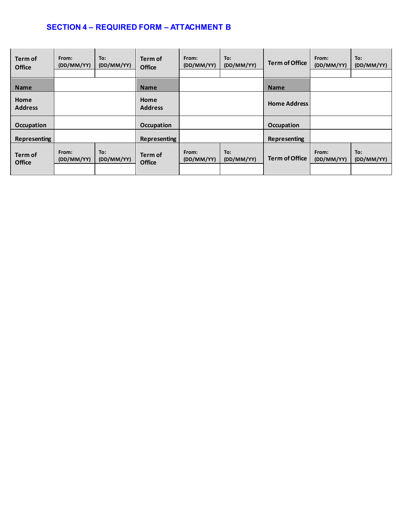| Term of<br><b>Office</b> | From:<br>(DD/MM/YY) | To:<br>(DD/MM/YY) | Term of<br><b>Office</b> | From:<br>(DD/MM/YY) | To:<br>(DD/MM/YY) | Term of Office        | From:<br>(DD/MM/YY) | To:<br>(DD/MM/YY) |
|--------------------------|---------------------|-------------------|--------------------------|---------------------|-------------------|-----------------------|---------------------|-------------------|
| <b>Name</b>              |                     |                   | <b>Name</b>              |                     |                   | <b>Name</b>           |                     |                   |
| Home<br><b>Address</b>   |                     |                   | Home<br><b>Address</b>   |                     |                   | <b>Home Address</b>   |                     |                   |
| Occupation               |                     |                   | <b>Occupation</b>        |                     |                   | <b>Occupation</b>     |                     |                   |
| <b>Representing</b>      |                     |                   | Representing             |                     |                   | Representing          |                     |                   |
| Term of<br><b>Office</b> | From:<br>(DD/MM/YY) | To:<br>(DD/MM/YY) | Term of<br><b>Office</b> | From:<br>(DD/MM/YY) | To:<br>(DD/MM/YY) | <b>Term of Office</b> | From:<br>(DD/MM/YY) | To:<br>(DD/MM/YY) |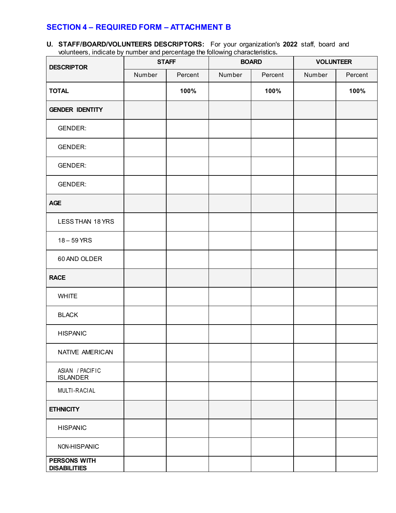**U. STAFF/BOARD/VOLUNTEERS DESCRIPTORS:** For your organization's **2022** staff, board and volunteers, indicate by number and percentage the following characteristics**.**

| <b>DESCRIPTOR</b>                   |        | <b>STAFF</b> |        | <b>BOARD</b> | <b>VOLUNTEER</b> |         |
|-------------------------------------|--------|--------------|--------|--------------|------------------|---------|
|                                     | Number | Percent      | Number | Percent      | Number           | Percent |
| <b>TOTAL</b>                        |        | 100%         |        | 100%         |                  | 100%    |
| <b>GENDER IDENTITY</b>              |        |              |        |              |                  |         |
| GENDER:                             |        |              |        |              |                  |         |
| <b>GENDER:</b>                      |        |              |        |              |                  |         |
| <b>GENDER:</b>                      |        |              |        |              |                  |         |
| <b>GENDER:</b>                      |        |              |        |              |                  |         |
| <b>AGE</b>                          |        |              |        |              |                  |         |
| LESS THAN 18 YRS                    |        |              |        |              |                  |         |
| 18 - 59 YRS                         |        |              |        |              |                  |         |
| 60 AND OLDER                        |        |              |        |              |                  |         |
| <b>RACE</b>                         |        |              |        |              |                  |         |
| <b>WHITE</b>                        |        |              |        |              |                  |         |
| <b>BLACK</b>                        |        |              |        |              |                  |         |
| <b>HISPANIC</b>                     |        |              |        |              |                  |         |
| NATIVE AMERICAN                     |        |              |        |              |                  |         |
| ASIAN / PACIFIC<br><b>ISLANDER</b>  |        |              |        |              |                  |         |
| MULTI-RACIAL                        |        |              |        |              |                  |         |
| <b>ETHNICITY</b>                    |        |              |        |              |                  |         |
| <b>HISPANIC</b>                     |        |              |        |              |                  |         |
| NON-HISPANIC                        |        |              |        |              |                  |         |
| PERSONS WITH<br><b>DISABILITIES</b> |        |              |        |              |                  |         |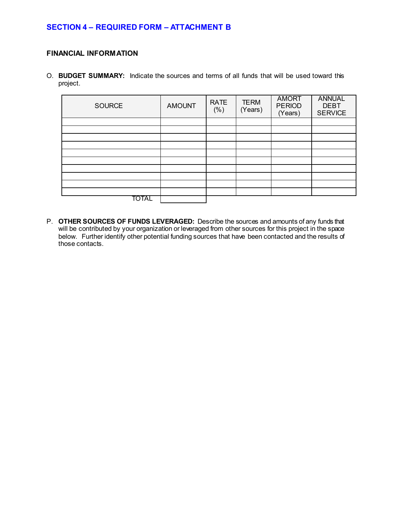#### **FINANCIAL INFORMATION**

O. **BUDGET SUMMARY:** Indicate the sources and terms of all funds that will be used toward this project.

| SOURCE | <b>AMOUNT</b> | <b>RATE</b><br>(% ) | <b>TERM</b><br>(Years) | <b>AMORT</b><br><b>PERIOD</b><br>(Years) | <b>ANNUAL</b><br><b>DEBT</b><br><b>SERVICE</b> |
|--------|---------------|---------------------|------------------------|------------------------------------------|------------------------------------------------|
|        |               |                     |                        |                                          |                                                |
|        |               |                     |                        |                                          |                                                |
|        |               |                     |                        |                                          |                                                |
|        |               |                     |                        |                                          |                                                |
|        |               |                     |                        |                                          |                                                |
|        |               |                     |                        |                                          |                                                |
|        |               |                     |                        |                                          |                                                |
|        |               |                     |                        |                                          |                                                |
|        |               |                     |                        |                                          |                                                |
|        |               |                     |                        |                                          |                                                |
| TOTAL  |               |                     |                        |                                          |                                                |

P. **OTHER SOURCES OF FUNDS LEVERAGED:** Describe the sources and amounts of any funds that will be contributed by your organization or leveraged from other sources for this project in the space below. Further identify other potential funding sources that have been contacted and the results of those contacts.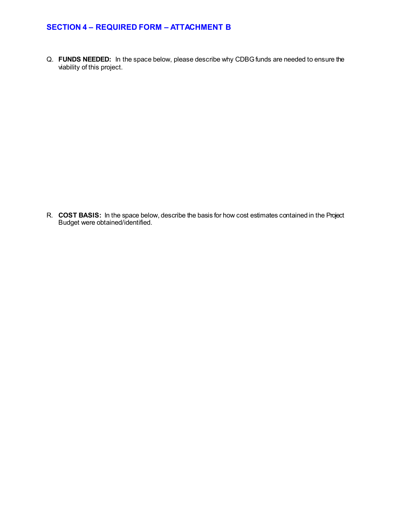Q. **FUNDS NEEDED:** In the space below, please describe why CDBG funds are needed to ensure the viability of this project.

R. **COST BASIS:** In the space below, describe the basis for how cost estimates contained in the Project Budget were obtained/identified.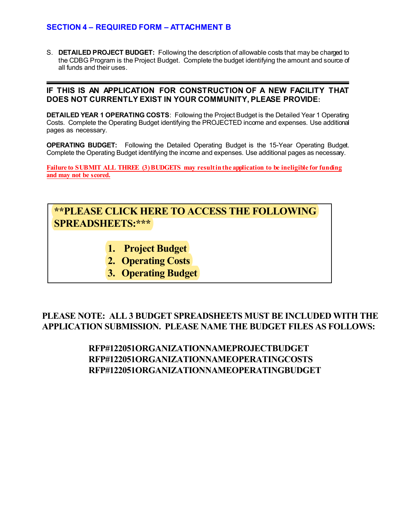S. **DETAILED PROJECT BUDGET:** Following the description of allowable costs that may be charged to the CDBG Program is the Project Budget. Complete the budget identifying the amount and source of all funds and their uses.

#### **IF THIS IS AN APPLICATION FOR CONSTRUCTION OF A NEW FACILITY THAT DOES NOT CURRENTLY EXIST IN YOUR COMMUNITY, PLEASE PROVIDE:**

**DETAILED YEAR 1 OPERATING COSTS**: Following the Project Budget is the Detailed Year 1 Operating Costs. Complete the Operating Budget identifying the PROJECTED income and expenses. Use additional pages as necessary.

**OPERATING BUDGET:** Following the Detailed Operating Budget is the 15-Year Operating Budget. Complete the Operating Budget identifying the income and expenses. Use additional pages as necessary.

**Failure to SUBMIT ALL THREE (3)BUDGETS may result in the application to be ineligible for funding and may not be scored.**

# **[\\*\\*PLEASE CLICK HERE TO ACCESS THE FOLLOWING](https://countyofdane.sharefile.com/d-s21db5b6ce4474eb1a52b37f58e285028)  SPREADSHEETS:\*\*\***

- **1. Project Budget**
- **2. Operating Costs**
- **3. Operating Budget**

**PLEASE NOTE: ALL 3 BUDGET SPREADSHEETS MUST BE INCLUDED WITH THE APPLICATION SUBMISSION. PLEASE NAME THE BUDGET FILES AS FOLLOWS:**

> **RFP#122051ORGANIZATIONNAMEPROJECTBUDGET RFP#122051ORGANIZATIONNAMEOPERATINGCOSTS RFP#122051ORGANIZATIONNAMEOPERATINGBUDGET**